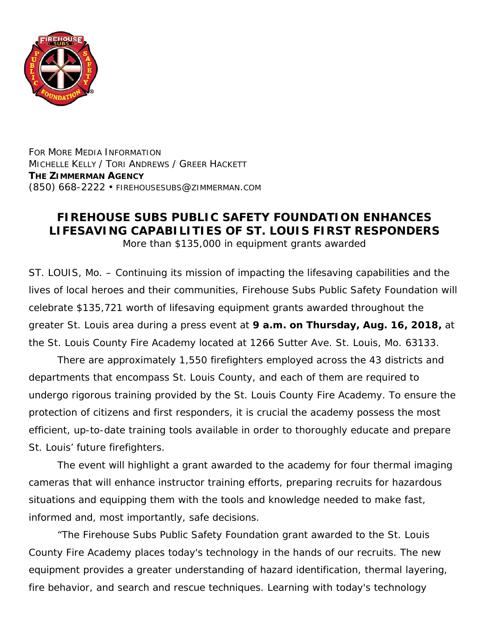

FOR MORE MEDIA INFORMATION MICHELLE KELLY / TORI ANDREWS / GREER HACKETT **THE ZIMMERMAN AGENCY** (850) 668-2222 • FIREHOUSESUBS@ZIMMERMAN.COM

## **FIREHOUSE SUBS PUBLIC SAFETY FOUNDATION ENHANCES LIFESAVING CAPABILITIES OF ST. LOUIS FIRST RESPONDERS**

*More than \$135,000 in equipment grants awarded* 

ST. LOUIS, Mo. – Continuing its mission of impacting the lifesaving capabilities and the lives of local heroes and their communities, Firehouse Subs Public Safety Foundation will celebrate \$135,721 worth of lifesaving equipment grants awarded throughout the greater St. Louis area during a press event at **9 a.m. on Thursday, Aug. 16, 2018,** at the St. Louis County Fire Academy located at 1266 Sutter Ave. St. Louis, Mo. 63133.

There are approximately 1,550 firefighters employed across the 43 districts and departments that encompass St. Louis County, and each of them are required to undergo rigorous training provided by the St. Louis County Fire Academy. To ensure the protection of citizens and first responders, it is crucial the academy possess the most efficient, up-to-date training tools available in order to thoroughly educate and prepare St. Louis' future firefighters.

The event will highlight a grant awarded to the academy for four thermal imaging cameras that will enhance instructor training efforts, preparing recruits for hazardous situations and equipping them with the tools and knowledge needed to make fast, informed and, most importantly, safe decisions.

"The Firehouse Subs Public Safety Foundation grant awarded to the St. Louis County Fire Academy places today's technology in the hands of our recruits. The new equipment provides a greater understanding of hazard identification, thermal layering, fire behavior, and search and rescue techniques. Learning with today's technology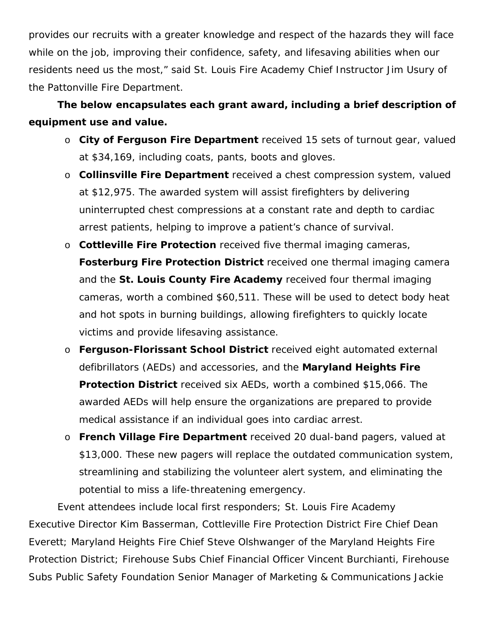provides our recruits with a greater knowledge and respect of the hazards they will face while on the job, improving their confidence, safety, and lifesaving abilities when our residents need us the most," said St. Louis Fire Academy Chief Instructor Jim Usury of the Pattonville Fire Department.

## **The below encapsulates each grant award, including a brief description of equipment use and value.**

- o **City of Ferguson Fire Department** received 15 sets of turnout gear, valued at \$34,169, including coats, pants, boots and gloves.
- o **Collinsville Fire Department** received a chest compression system, valued at \$12,975. The awarded system will assist firefighters by delivering uninterrupted chest compressions at a constant rate and depth to cardiac arrest patients, helping to improve a patient's chance of survival.
- o **Cottleville Fire Protection** received five thermal imaging cameras, **Fosterburg Fire Protection District** received one thermal imaging camera and the **St. Louis County Fire Academy** received four thermal imaging cameras, worth a combined \$60,511. These will be used to detect body heat and hot spots in burning buildings, allowing firefighters to quickly locate victims and provide lifesaving assistance.
- o **Ferguson-Florissant School District** received eight automated external defibrillators (AEDs) and accessories, and the **Maryland Heights Fire Protection District** received six AEDs, worth a combined \$15,066. The awarded AEDs will help ensure the organizations are prepared to provide medical assistance if an individual goes into cardiac arrest.
- o **French Village Fire Department** received 20 dual-band pagers, valued at \$13,000. These new pagers will replace the outdated communication system, streamlining and stabilizing the volunteer alert system, and eliminating the potential to miss a life-threatening emergency.

Event attendees include local first responders; St. Louis Fire Academy Executive Director Kim Basserman, Cottleville Fire Protection District Fire Chief Dean Everett; Maryland Heights Fire Chief Steve Olshwanger of the Maryland Heights Fire Protection District; Firehouse Subs Chief Financial Officer Vincent Burchianti, Firehouse Subs Public Safety Foundation Senior Manager of Marketing & Communications Jackie